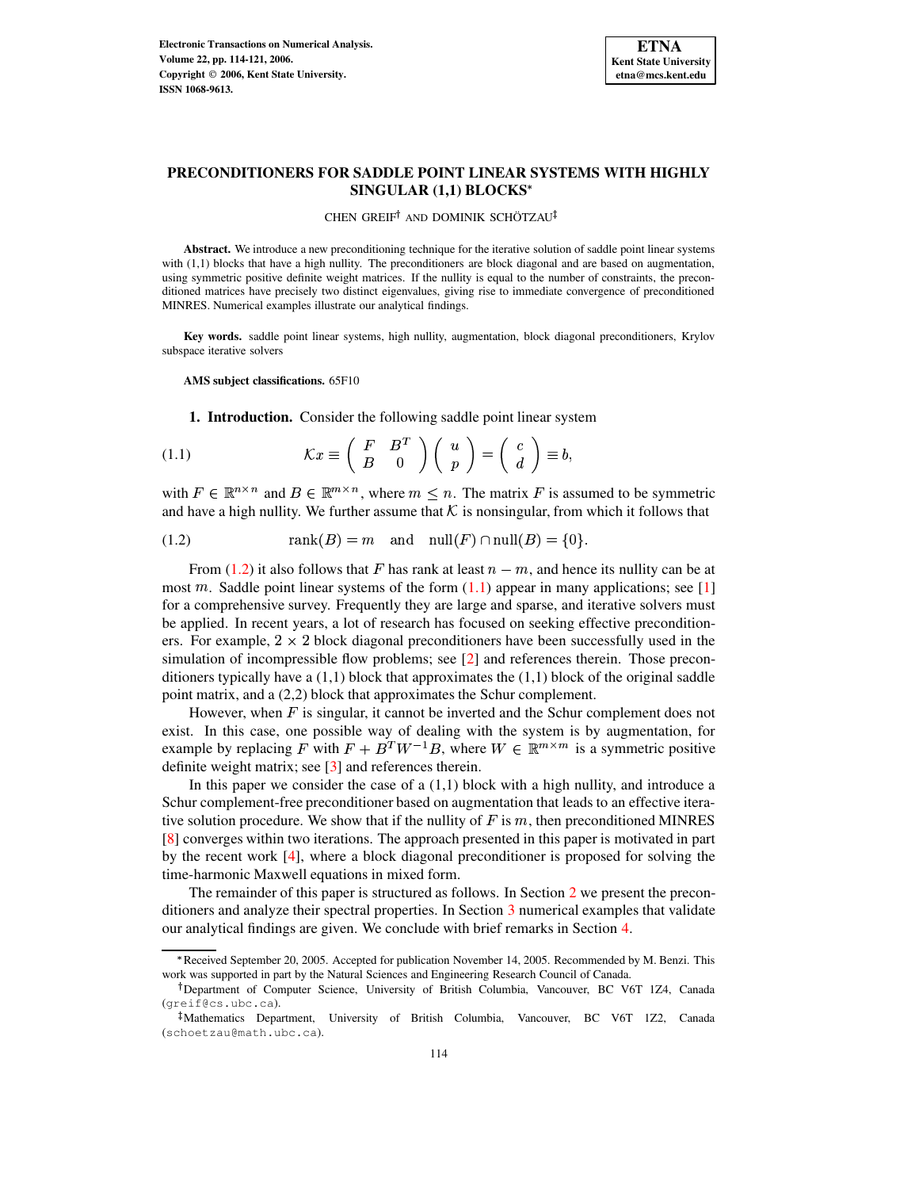

# **PRECONDITIONERS FOR SADDLE POINT LINEAR SYSTEMS WITH HIGHLY SINGULAR (1,1) BLOCKS**

<span id="page-0-0"></span>CHEN GREIF<sup>†</sup> AND DOMINIK SCHÖTZAU

Abstract. We introduce a new preconditioning technique for the iterative solution of saddle point linear systems with (1,1) blocks that have a high nullity. The preconditioners are block diagonal and are based on augmentation, using symmetric positive definite weight matrices. If the nullity is equal to the number of constraints, the preconditioned matrices have precisely two distinct eigenvalues, giving rise to immediate convergence of preconditioned MINRES. Numerical examples illustrate our analytical findings.

**Key words.** saddle point linear systems, high nullity, augmentation, block diagonal preconditioners, Krylov subspace iterative solvers

**AMS subject classifications.** 65F10

<span id="page-0-1"></span>**1. Introduction.** Consider the following saddle point linear system

(1.1) 
$$
\mathcal{K}x \equiv \begin{pmatrix} F & B^T \\ B & 0 \end{pmatrix} \begin{pmatrix} u \\ p \end{pmatrix} = \begin{pmatrix} c \\ d \end{pmatrix} \equiv b,
$$

with  $F \in \mathbb{R}^{n \times n}$  and  $B \in \mathbb{R}^{m \times n}$ , where  $m \leq n$ . The matrix F is assumed to be symmetric and have a high nullity. We further assume that K is nonsingular, from which it follows that

(1.2) 
$$
rank(B) = m \text{ and } null(F) \cap null(B) = \{0\}.
$$

From [\(1.2\)](#page-0-0) it also follows that F has rank at least  $n-m$ , and hence its nullity can be at most  $m$ . Saddle point linear systems of the form  $(1.1)$  appear in many applications; see [\[1\]](#page-7-0) for a comprehensive survey. Frequently they are large and sparse, and iterative solvers must be applied. In recent years, a lot of research has focused on seeking effective preconditioners. For example,  $2 \times 2$  block diagonal preconditioners have been successfully used in the simulation of incompressible flow problems; see [\[2\]](#page-7-1) and references therein. Those preconditioners typically have a  $(1,1)$  block that approximates the  $(1,1)$  block of the original saddle point matrix, and a (2,2) block that approximates the Schur complement.

However, when  $F$  is singular, it cannot be inverted and the Schur complement does not exist. In this case, one possible way of dealing with the system is by augmentation, for example by replacing F with  $F + B^T W^{-1} B$ , where  $W \in \mathbb{R}^{m \times m}$  is a symmetric positive definite weight matrix; see [\[3\]](#page-7-2) and references therein.

In this paper we consider the case of a  $(1,1)$  block with a high nullity, and introduce a Schur complement-free preconditioner based on augmentation that leads to an effective iterative solution procedure. We show that if the nullity of  $F$  is  $m$ , then preconditioned MINRES [\[8\]](#page-7-3) converges within two iterations. The approach presented in this paper is motivated in part by the recent work [\[4\]](#page-7-4), where a block diagonal preconditioner is proposed for solving the time-harmonic Maxwell equations in mixed form.

The remainder of this paper is structured as follows. In Section [2](#page-1-0) we present the preconditioners and analyze their spectral properties. In Section [3](#page-3-0) numerical examples that validate our analytical findings are given. We conclude with brief remarks in Section [4.](#page-7-5)

<sup>\*</sup> Received September 20, 2005. Accepted for publication November 14, 2005. Recommended by M. Benzi. This work was supported in part by the Natural Sciences and Engineering Research Council of Canada.

<sup>&</sup>lt;sup>†</sup> Department of Computer Science, University of British Columbia, Vancouver, BC V6T 1Z4, Canada (greif@cs.ubc.ca).

<sup>-</sup> Mathematics Department, University of British Columbia, Vancouver, BC V6T 1Z2, Canada (schoetzau@math.ubc.ca).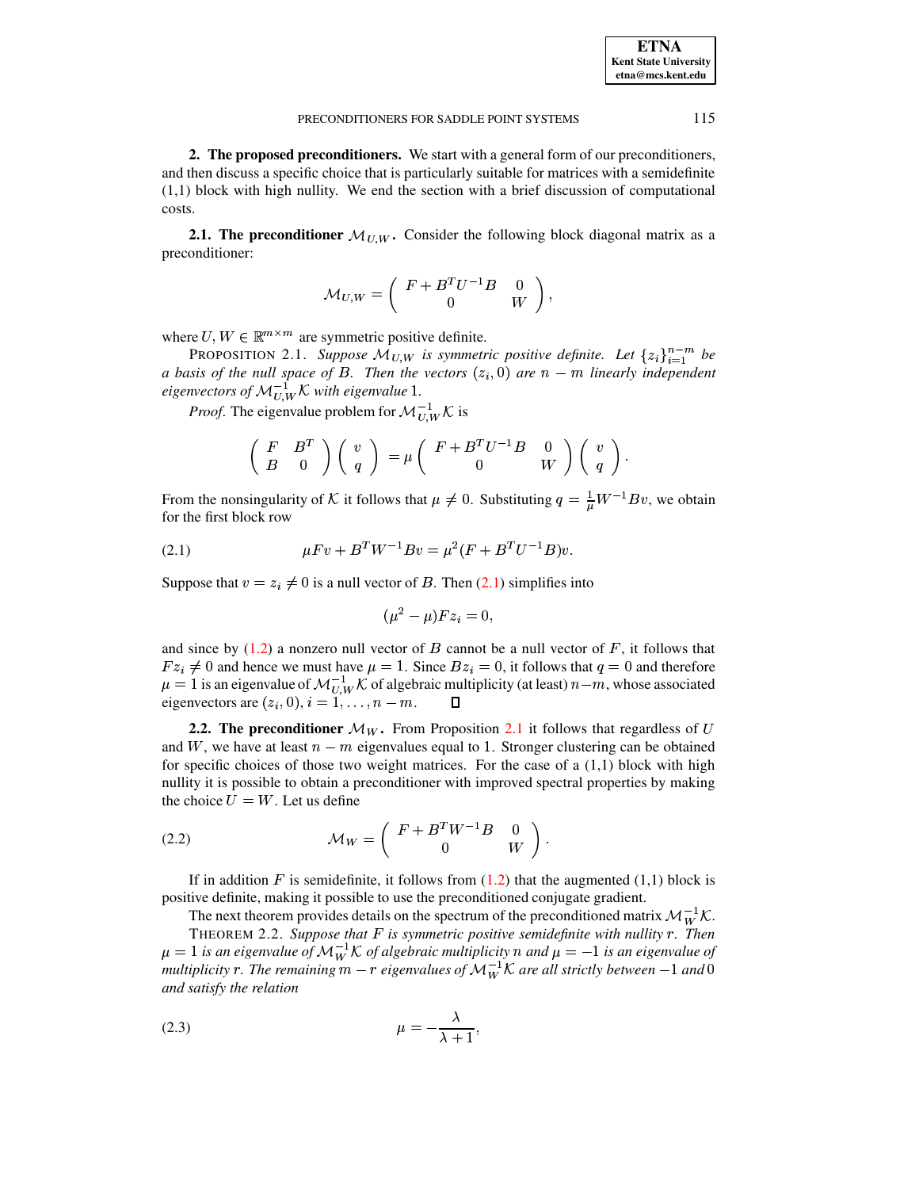**ETNA Kent State University etna@mcs.kent.edu**

#### PRECONDITIONERS FOR SADDLE POINT SYSTEMS 115

<span id="page-1-0"></span>**2. The proposed preconditioners.** We start with a general form of our preconditioners, and then discuss a specific choice that is particularly suitable for matrices with a semidefinite (1,1) block with high nullity. We end the section with a brief discussion of computational costs.

**2.1.** The preconditioner  $\mathcal{M}_{U,W}$ . Consider the following block diagonal matrix as a preconditioner:

$$
{\cal M}_{U,W}=\left(\begin{array}{cc} F+B^TU^{-1}B&0\\ 0&W\end{array}\right),
$$

<span id="page-1-2"></span>where  $U, W \in \mathbb{R}^{m \times m}$  are symmetric positive definite.

PROPOSITION 2.1. *Suppose*  $\mathcal{M}_{U,W}$  is symmetric positive definite. Let  $\{z_i\}_{i=1}^{n-m}$  be *a* basis of the null space of B. Then the vectors  $(z_i, 0)$  are  $n - m$  linearly independent  $(0, 0)$  are  $n - m$  linearly independent *eigenvectors of*  $\mathcal{M}_{UV}^{-1} \mathcal{K}$  *with eigenvalue* 1.

*Proof.* The eigenvalue problem for  $\mathcal{M}_{UV}^{-1} \mathcal{K}$  is

$$
\left(\begin{array}{cc} F & B^T \\ B & 0 \end{array}\right)\left(\begin{array}{c} v \\ q \end{array}\right)\,=\mu\left(\begin{array}{cc} F+B^TU^{-1}B & 0 \\ 0 & W \end{array}\right)\left(\begin{array}{c} v \\ q \end{array}\right).
$$

<span id="page-1-1"></span>From the nonsingularity of K it follows that  $\mu \neq 0$ . Substituting  $q = \frac{1}{\mu} W^{-1} B v$ , we obtain for the first block row

(2.1) 
$$
\mu F v + B^T W^{-1} B v = \mu^2 (F + B^T U^{-1} B) v.
$$

Suppose that  $v = z_i \neq 0$  is a null vector of B. Then [\(2.1\)](#page-1-1) simplifies into

$$
(\mu^2 - \mu) F z_i = 0,
$$

and since by  $(1.2)$  a nonzero null vector of B cannot be a null vector of F, it follows that  $Fz_i \neq 0$  and hence we must have  $\mu = 1$ . Since  $Bz_i = 0$ , it follows that  $q = 0$  and therefore  $\mu = 1$  is an eigenvalue of  $\mathcal{M}_{U,W}^{-1} \mathcal{K}$  of algebraic multiplicity (at least)  $n-m$ , whose associated eigenvectors are  $(z_i, 0), i = 1, ..., n - m$ .

**2.2.** The preconditioner  $\mathcal{M}_W$ . From Proposition [2.1](#page-1-2) it follows that regardless of U and W, we have at least  $n-m$  eigenvalues equal to 1. Stronger clustering can be obtained for specific choices of those two weight matrices. For the case of a  $(1,1)$  block with high nullity it is possible to obtain a preconditioner with improved spectral properties by making the choice  $U = W$ . Let us define

[ \_ qM`a
zQTSVUW <sup>Q</sup> (2.2) <sup>F</sup>

If in addition F is semidefinite, it follows from  $(1.2)$  that the augmented  $(1,1)$  block is positive definite, making it possible to use the preconditioned conjugate gradient.

The next theorem provides details on the spectrum of the preconditioned matrix  $\mathcal{M}_{W}^{-1}\mathcal{K}$ .

<span id="page-1-4"></span>THEOREM 2.2. *Suppose that is symmetric positive semidefinite with nullity . Then*  $\mu = 1$  is an eigenvalue of  $\mathcal{M}_W^{-1} \mathcal{K}$  of algebraic multiplicity  $n$  and  $\mu = -1$  is an eigenvalue of *multiplicity*  $r$  . The remaining  $m-r$  eigenvalues of  $\mathcal{M}_W^{-1}\mathcal{K}$  are all strictly between  $-1$  and 0 *and satisfy the relation*

<span id="page-1-3"></span>
$$
\mu = -\frac{\lambda}{\lambda + 1},
$$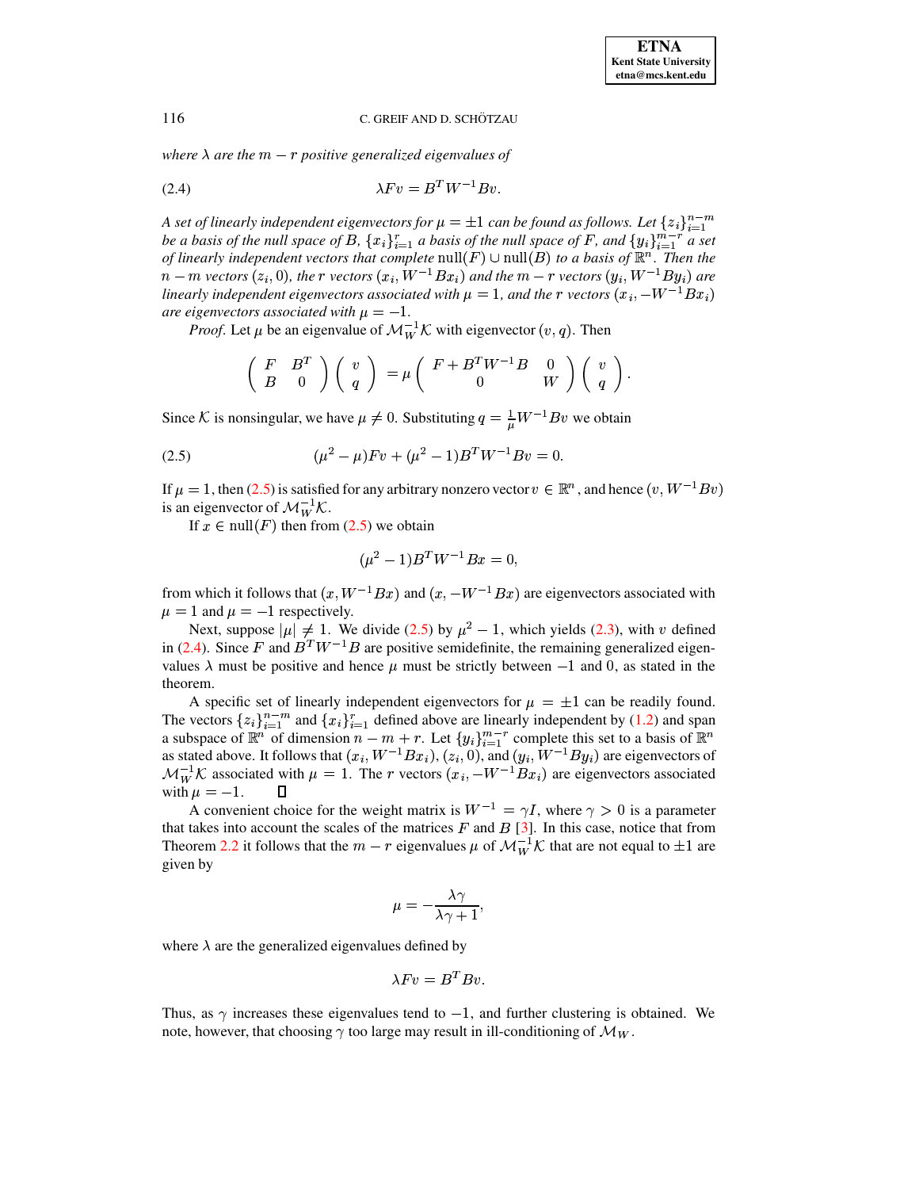<span id="page-2-0"></span><sup>F</sup>

### 116 C. GREIF AND D. SCHÖTZAU

<span id="page-2-1"></span>*where*  $\lambda$  *are the*  $m-r$  *positive generalized eigenvalues of* 

$$
\lambda Fv = B^T W^{-1} Bv.
$$

*A* set of linearly independent eigenvectors for  $\mu = \pm 1$  can be found as follows. Let  $\{z_i\}_{i=1}^{n-m}$ be a basis of the null space of B,  $\{x_i\}_{i=1}^r$  a basis of the null space of F, and  $\{y_i\}_{i=1}^{m-r}$  a set of linearly independent vectors that complete  $null(F) \cup null(B)$  to a basis of  $\mathbb{R}^n$ . Then the  $n - m$  vectors  $(z_i, 0)$ , the  $r$  vectors  $(x_i, W^{-1}Bx_i)$  and the  $m - r$  vectors  $(y_i, W^{-1}By_i)$  are linearly independent eigenvectors associated with  $\mu = 1$ , and the r vectors  $(x_i, -W^{-1}Bx_i)$ *are eigenvectors associated with*  $\mu = -1$ .

*Proof.* Let  $\mu$  be an eigenvalue of  $\mathcal{M}_{W}^{-1} \mathcal{K}$  with eigenvector  $(v, q)$ . Then

$$
\left(\begin{array}{cc} F & B^T \\ B & 0 \end{array}\right)\left(\begin{array}{c} v \\ q \end{array}\right)\ =\mu\left(\begin{array}{cc} F+B^TW^{-1}B & 0 \\ 0 & W \end{array}\right)\left(\begin{array}{c} v \\ q \end{array}\right).
$$

Since K is nonsingular, we have  $\mu \neq 0$ . Substituting  $q = \frac{1}{\mu} W^{-1} B v$  we obtain

(2.5) 
$$
(\mu^2 - \mu) F v + (\mu^2 - 1) B^T W^{-1} B v = 0.
$$

If  $\mu = 1$ , then [\(2.5\)](#page-2-0) is satisfied for any arbitrary nonzero vector  $v \in \mathbb{R}^n$ , and hence  $(v, W^{-1}Bv)$ is an eigenvector of  $\mathcal{M}_W^{-1}\mathcal{K}$ .

If  $x \in \text{null}(F)$  then from [\(2.5\)](#page-2-0) we obtain

$$
(\mu^2 - 1)B^T W^{-1} B x = 0,
$$

from which it follows that  $(x, W^{-1}Bx)$  and  $(x, -W^{-1}Bx)$  are eigenvectors associated with  $\mu = 1$  and  $\mu = -1$  respectively.

Next, suppose  $|\mu| \neq 1$ . We divide [\(2.5\)](#page-2-0) by  $\mu^2 - 1$ , which yields [\(2.3\)](#page-1-3), with v defined in [\(2.4\)](#page-2-1). Since F and  $B^T W^{-1} B$  are positive semidefinite, the remaining generalized eigenvalues  $\lambda$  must be positive and hence  $\mu$  must be strictly between  $-1$  and 0, as stated in the theorem.

A specific set of linearly independent eigenvectors for  $\mu = \pm 1$  can be readily found. The vectors  $\{z_i\}_{i=1}^{n-m}$  and  $\{x_i\}_{i=1}^r$  defined above are linearly independent by [\(1.2\)](#page-0-0) and span a subspace of  $\mathbb{R}^n$  of dimension  $n - m + r$ . Let  $\{y_i\}_{i=1}^{m-r}$  complete this set to a basis of  $\mathbb{R}^n$ as stated above. It follows that  $(x_i, W^{-1}Bx_i)$  $,W^{-1}Bx_i), (z_i, 0), i$  $(0, 0)$ , and  $(y_i, W^-$ 0), and  $(y_i, W^{-1}By_i)$  are eigenvectors of  $\mathcal{M}_W^{-1}\mathcal{K}$  associated with  $\mu = 1$ . The r vectors  $(x_i, -W^{-1}Bx_i)$  are eigenvectors associated with  $\mu = -1$ .  $\Box$ 

A convenient choice for the weight matrix is  $W^{-1} = \gamma I$ , where  $\gamma > 0$  is a parameter that takes into account the scales of the matrices  $F$  and  $B$  [\[3\]](#page-7-2). In this case, notice that from Theorem [2.2](#page-1-4) it follows that the  $m-r$  eigenvalues  $\mu$  of  $\mathcal{M}_W^{-1}\mathcal{K}$  that are not equal to  $\pm 1$  are given by

$$
\mu=-\frac{\lambda\gamma}{\lambda\gamma+1},
$$

where  $\lambda$  are the generalized eigenvalues defined by

$$
\lambda Fv = B^T B v.
$$

Thus, as  $\gamma$  increases these eigenvalues tend to  $-1$ , and further clustering is obtained. We note, however, that choosing  $\gamma$  too large may result in ill-conditioning of  $\mathcal{M}_W$ .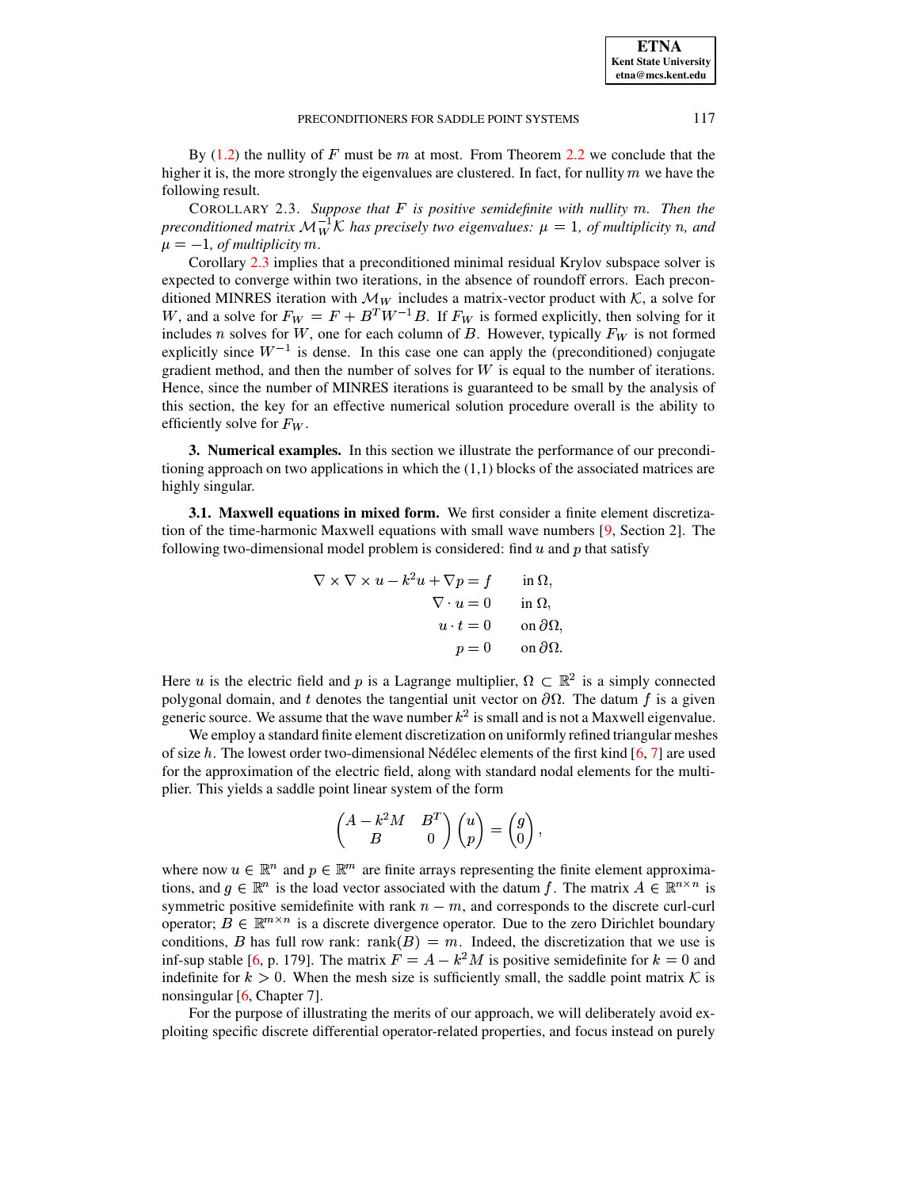## PRECONDITIONERS FOR SADDLE POINT SYSTEMS 117

By  $(1.2)$  the nullity of F must be m at most. From Theorem [2.2](#page-1-4) we conclude that the higher it is, the more strongly the eigenvalues are clustered. In fact, for nullity  $m$  we have the following result.

<span id="page-3-1"></span>COROLLARY 2.3. Suppose that F is positive semidefinite with nullity  $m$ . Then the *preconditioned matrix*  $\mathcal{M}_W^{-1} \mathcal{K}$  *has precisely two eigenvalues:*  $\mu = 1$ *, of multiplicity n, and*  $\mu = -1$ , *of multiplicity m.* 

Corollary [2.3](#page-3-1) implies that a preconditioned minimal residual Krylov subspace solver is expected to converge within two iterations, in the absence of roundoff errors. Each preconditioned MINRES iteration with  $\mathcal{M}_W$  includes a matrix-vector product with K, a solve for W, and a solve for  $F_W = F + B^T W^{-1} B$ . If  $F_W$  is formed explicitly, then solving for it includes *n* solves for W, one for each column of B. However, typically  $F_W$  is not formed explicitly since  $W^{-1}$  is dense. In this case one can apply the (preconditioned) conjugate gradient method, and then the number of solves for  $W$  is equal to the number of iterations. Hence, since the number of MINRES iterations is guaranteed to be small by the analysis of this section, the key for an effective numerical solution procedure overall is the ability to efficiently solve for  $F_W$ .

<span id="page-3-0"></span>**3. Numerical examples.** In this section we illustrate the performance of our preconditioning approach on two applications in which the  $(1,1)$  blocks of the associated matrices are highly singular.

<span id="page-3-2"></span>**3.1. Maxwell equations in mixed form.** We first consider a finite element discretization of the time-harmonic Maxwell equations with small wave numbers [\[9,](#page-7-6) Section 2]. The following two-dimensional model problem is considered: find  $u$  and  $p$  that satisfy

$$
\nabla \times \nabla \times u - k^2 u + \nabla p = f \quad \text{in } \Omega,
$$
  

$$
\nabla \cdot u = 0 \quad \text{in } \Omega,
$$
  

$$
u \cdot t = 0 \quad \text{on } \partial \Omega,
$$
  

$$
p = 0 \quad \text{on } \partial \Omega.
$$

Here u is the electric field and p is a Lagrange multiplier,  $\Omega \subset \mathbb{R}^2$  is a simply connected polygonal domain, and t denotes the tangential unit vector on  $\partial\Omega$ . The datum f is a given generic source. We assume that the wave number  $k^2$  is small and is not a Maxwell eigenvalue.

We employ a standard finite element discretization on uniformly refined triangular meshes of size h. The lowest order two-dimensional Nédélec elements of the first kind  $[6, 7]$  $[6, 7]$  $[6, 7]$  are used for the approximation of the electric field, along with standard nodal elements for the multiplier. This yields a saddle point linear system of the form

$$
\begin{pmatrix} A-k^2M & B^T \\ B & 0 \end{pmatrix} \begin{pmatrix} u \\ p \end{pmatrix} = \begin{pmatrix} g \\ 0 \end{pmatrix},
$$

where now  $u \in \mathbb{R}^n$  and  $p \in \mathbb{R}^m$  are finite arrays representing the finite element approximations, and  $g \in \mathbb{R}^n$  is the load vector associated with the datum f. The matrix  $A \in \mathbb{R}^{n \times n}$  is symmetric positive semidefinite with rank  $n - m$ , and corresponds to the discrete curl-curl operator;  $B \in \mathbb{R}^{m \times n}$  is a discrete divergence operator. Due to the zero Dirichlet boundary conditions, B has full row rank:  $rank(B) = m$ . Indeed, the discretization that we use is inf-sup stable [\[6,](#page-7-7) p. 179]. The matrix  $F = A - k^2 M$  is positive semidefinite for  $k = 0$  and indefinite for  $k > 0$ . When the mesh size is sufficiently small, the saddle point matrix K is nonsingular [\[6,](#page-7-7) Chapter 7].

For the purpose of illustrating the merits of our approach, we will deliberately avoid exploiting specific discrete differential operator-related properties, and focus instead on purely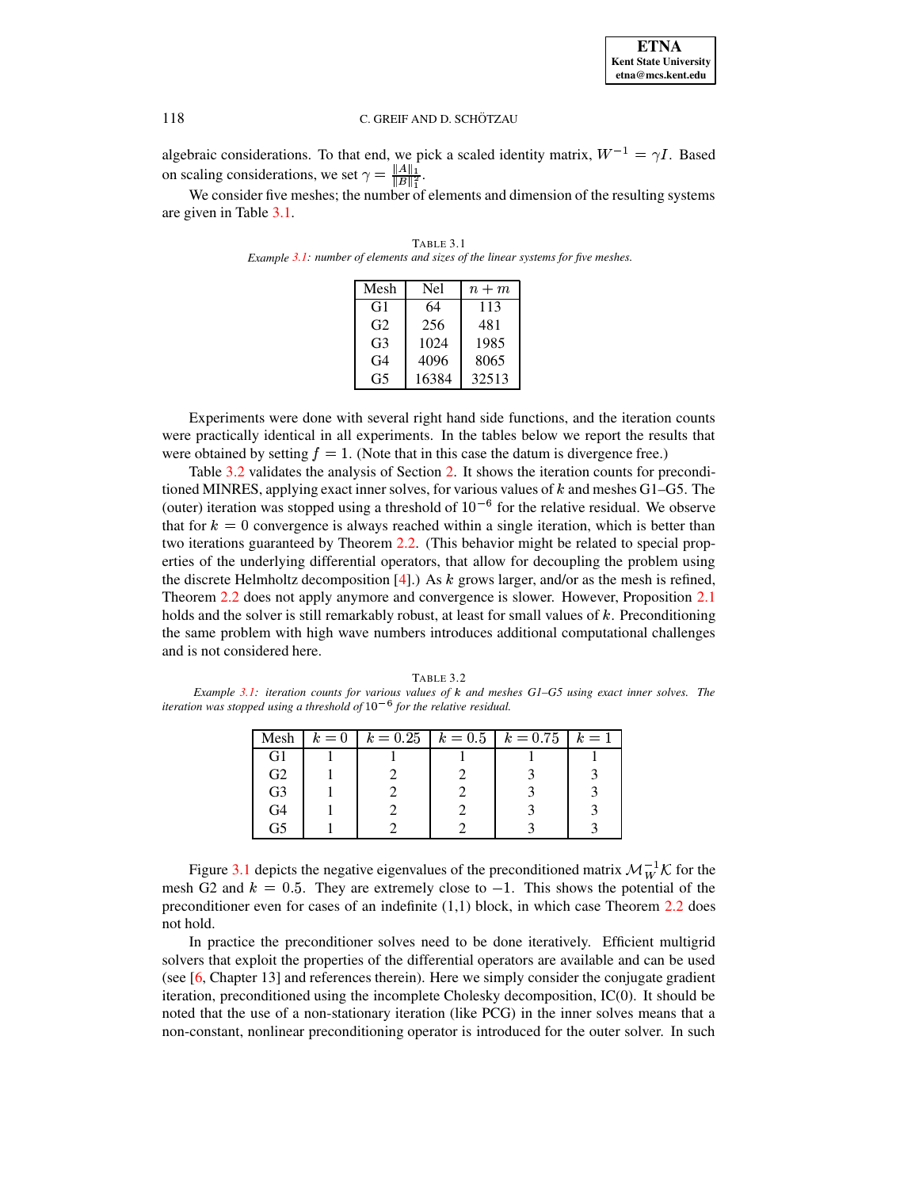**ETNA Kent State University etna@mcs.kent.edu**

## 118 C. GREIF AND D. SCHÖTZAU

algebraic considerations. To that end, we pick a scaled identity matrix,  $W^{-1} = \gamma I$ . Based on scaling considerations, we set  $\gamma = \frac{\|A\|_1}{\|B\|^2}$ .

<span id="page-4-0"></span>We consider five meshes; the number of elements and dimension of the resulting systems are given in Table [3.1.](#page-4-0)

°−∞ ™±

| Mesh           | Nel   | $n+m$ |
|----------------|-------|-------|
| G1             | 64    | 113   |
| G <sub>2</sub> | 256   | 481   |
| G <sub>3</sub> | 1024  | 1985  |
| G4             | 4096  | 8065  |
| G5             | 16384 | 32513 |

TABLE 3.1 *Example [3.1:](#page-3-2) number of elements and sizes of the linear systems for five meshes.*

Experiments were done with several right hand side functions, and the iteration counts were practically identical in all experiments. In the tables below we report the results that were obtained by setting  $f=1$ . (Note that in this case the datum is divergence free.)

Table [3.2](#page-4-1) validates the analysis of Section [2.](#page-1-0) It shows the iteration counts for preconditioned MINRES, applying exact inner solves, for various values of  $k$  and meshes G1–G5. The (outer) iteration was stopped using a threshold of  $10^{-6}$  for the relative residual. We observe that for  $k = 0$  convergence is always reached within a single iteration, which is better than two iterations guaranteed by Theorem [2.2.](#page-1-4) (This behavior might be related to special properties of the underlying differential operators, that allow for decoupling the problem using the discrete Helmholtz decomposition [\[4\]](#page-7-4).) As  $k$  grows larger, and/or as the mesh is refined, Theorem [2.2](#page-1-4) does not apply anymore and convergence is slower. However, Proposition [2.1](#page-1-2) holds and the solver is still remarkably robust, at least for small values of  $k$ . Preconditioning the same problem with high wave numbers introduces additional computational challenges and is not considered here.

<span id="page-4-1"></span>TABLE 3.2 *Example [3.1:](#page-3-2) iteration counts for various values of* ¶ *and meshes G1–G5 using exact inner solves. The iteration* was *stopped using* a *threshold of*  $10^{-6}$  *for the relative residual.* 

| Mesh           | $k=0$ | $k = 0.25$ $k = 0.5$ $k = 0.75$ |  | $k=1$ |
|----------------|-------|---------------------------------|--|-------|
| G1             |       |                                 |  |       |
| G <sub>2</sub> |       |                                 |  |       |
| G <sub>3</sub> |       |                                 |  |       |
| G4             |       |                                 |  |       |
| G5             |       |                                 |  |       |

Figure [3.1](#page-4-1) depicts the negative eigenvalues of the preconditioned matrix  $\mathcal{M}_{W}^{-1}\mathcal{K}$  for the mesh G2 and  $k = 0.5$ . They are extremely close to  $-1$ . This shows the potential of the preconditioner even for cases of an indefinite  $(1,1)$  block, in which case Theorem [2.2](#page-1-4) does not hold.

In practice the preconditioner solves need to be done iteratively. Efficient multigrid solvers that exploit the properties of the differential operators are available and can be used (see  $[6, Chapter 13]$  $[6, Chapter 13]$  and references therein). Here we simply consider the conjugate gradient iteration, preconditioned using the incomplete Cholesky decomposition, IC(0). It should be noted that the use of a non-stationary iteration (like PCG) in the inner solves means that a non-constant, nonlinear preconditioning operator is introduced for the outer solver. In such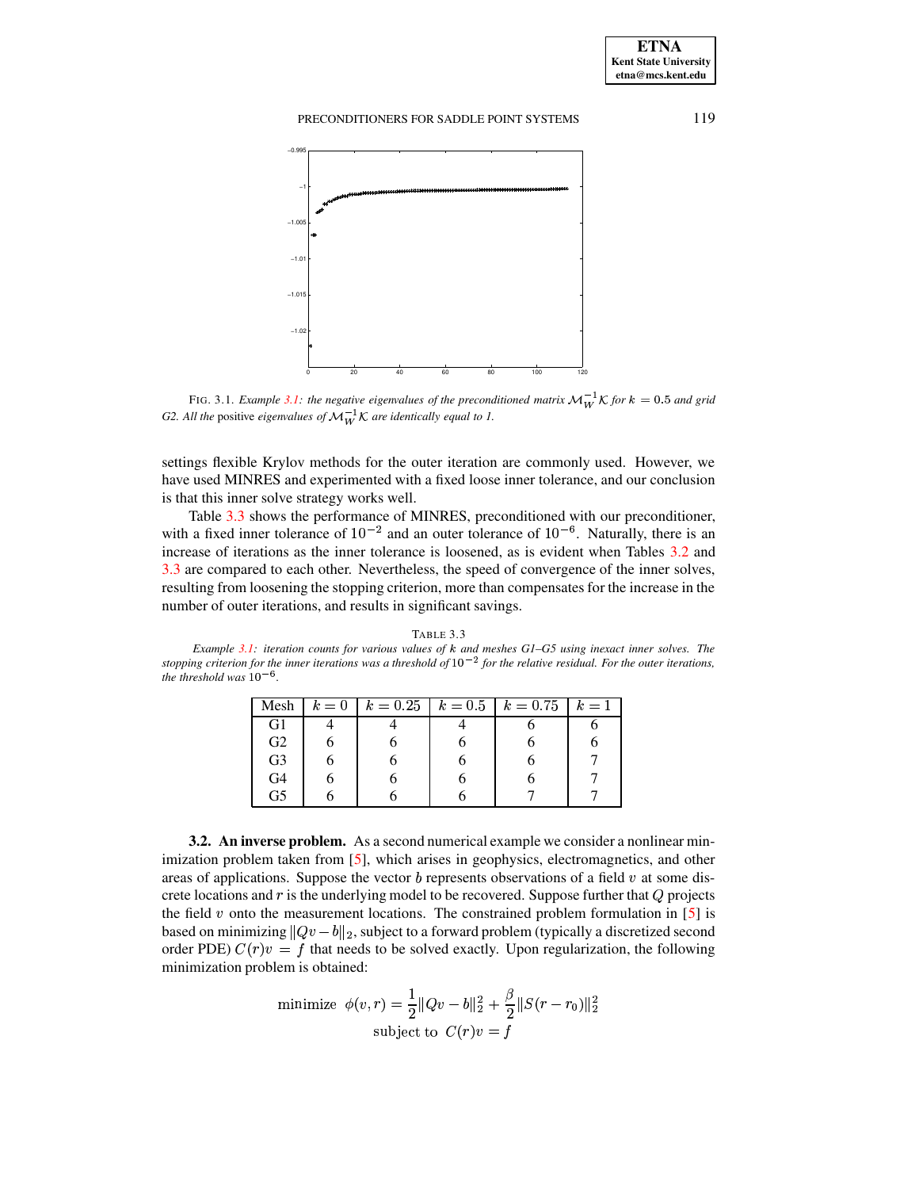

FIG. 3.1. *Example* [3.1:](#page-3-2) *the negative eigenvalues of the preconditioned matrix*  $\mathcal{M}_{W}^{-1}$  K for  $k = 0.5$  and grid *G2. All the* positive *eigenvalues of*  $\mathcal{M}_{W}^{-1} \mathcal{K}$  *are identically equal to 1.* 

settings flexible Krylov methods for the outer iteration are commonly used. However, we have used MINRES and experimented with a fixed loose inner tolerance, and our conclusion is that this inner solve strategy works well.

Table [3.3](#page-5-0) shows the performance of MINRES, preconditioned with our preconditioner, with a fixed inner tolerance of  $10^{-2}$  and an outer tolerance of  $10^{-6}$ . Naturally, there is an increase of iterations as the inner tolerance is loosened, as is evident when Tables [3.2](#page-4-1) and [3.3](#page-5-0) are compared to each other. Nevertheless, the speed of convergence of the inner solves, resulting from loosening the stopping criterion, more than compensates for the increase in the number of outer iterations, and results in significant savings.

#### TABLE 3.3

<span id="page-5-0"></span>*Example [3.1:](#page-3-2) iteration counts for various values of* ¶ *and meshes G1–G5 using inexact inner solves. The* stopping criterion for the inner iterations was a threshold of  $10^{-2}$  for the relative residual. For the outer iterations, *the threshold was*  $10^{-6}$ .

| Mesh           | $k=0$ | $k = 0.25$ $k = 0.5$ $k = 0.75$ |   | $k=1$ |
|----------------|-------|---------------------------------|---|-------|
| G1             |       |                                 |   |       |
| G <sub>2</sub> |       |                                 |   |       |
| G3             |       |                                 | O |       |
| G4             |       |                                 |   |       |
| G5             |       |                                 |   |       |

<span id="page-5-1"></span>**3.2. An inverse problem.** As a second numerical example we consider a nonlinear minimization problem taken from [\[5\]](#page-7-9), which arises in geophysics, electromagnetics, and other areas of applications. Suppose the vector  $b$  represents observations of a field  $v$  at some discrete locations and  $r$  is the underlying model to be recovered. Suppose further that  $Q$  projects the field v onto the measurement locations. The constrained problem formulation in [\[5\]](#page-7-9) is based on minimizing  $||Qv - b||_2$ , subject to a forward problem (typically a discretized second order PDE)  $C(r)v = f$  that needs to be solved exactly. Upon regularization, the following minimization problem is obtained:

minimize 
$$
\phi(v,r) = \frac{1}{2} ||Qv - b||_2^2 + \frac{\beta}{2} ||S(r - r_0)||_2^2
$$
  
subject to  $C(r)v = f$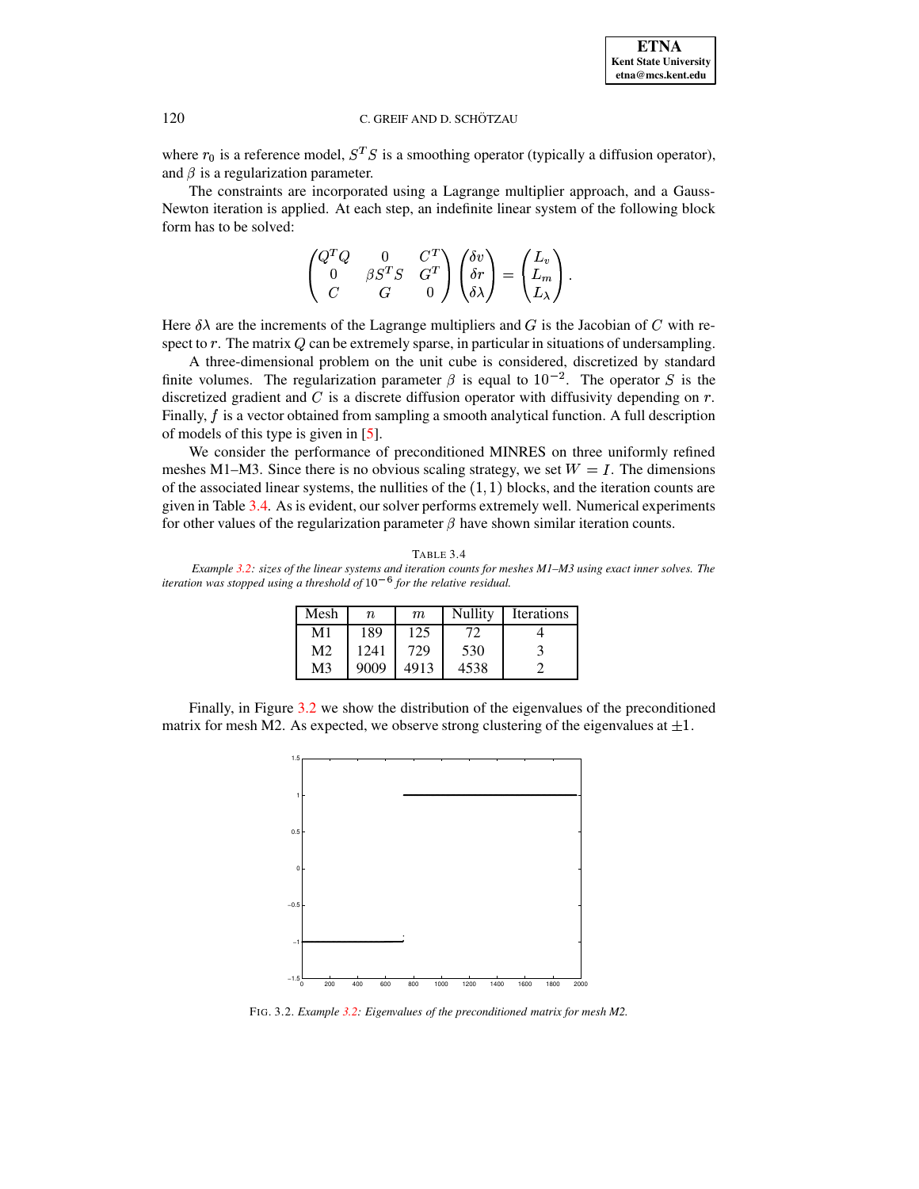# 120 C. GREIF AND D. SCHÖTZAU

where  $r_0$  is a reference model,  $S^T S$  is a smoothing operator (typically a diffusion operator), and  $\beta$  is a regularization parameter.

The constraints are incorporated using a Lagrange multiplier approach, and a Gauss-Newton iteration is applied. At each step, an indefinite linear system of the following block form has to be solved:

$$
\begin{pmatrix} Q^TQ & 0 & C^T \\ 0 & \beta S^TS & G^T \\ C & G & 0 \end{pmatrix} \begin{pmatrix} \delta v \\ \delta r \\ \delta \lambda \end{pmatrix} = \begin{pmatrix} L_v \\ L_m \\ L_\lambda \end{pmatrix}.
$$

Here  $\delta\lambda$  are the increments of the Lagrange multipliers and G is the Jacobian of C with respect to  $r$ . The matrix  $Q$  can be extremely sparse, in particular in situations of undersampling.

A three-dimensional problem on the unit cube is considered, discretized by standard finite volumes. The regularization parameter  $\beta$  is equal to  $10^{-2}$ . The operator S is the discretized gradient and  $C$  is a discrete diffusion operator with diffusivity depending on  $r$ . Finally,  $f$  is a vector obtained from sampling a smooth analytical function. A full description £ of models of this type is given in [\[5\]](#page-7-9).

We consider the performance of preconditioned MINRES on three uniformly refined meshes M1–M3. Since there is no obvious scaling strategy, we set  $W = I$ . The dimensions of the associated linear systems, the nullities of the  $(1, 1)$  blocks, and the iteration counts are given in Table [3.4.](#page-6-0) As is evident, our solver performs extremely well. Numerical experiments for other values of the regularization parameter  $\beta$  have shown similar iteration counts.

<span id="page-6-0"></span>TABLE 3.4 Example [3.2:](#page-5-1) sizes of the linear systems and iteration counts for meshes M1-M3 using exact inner solves. The *iteration* was *stopped using* a *threshold* of  $10^{-6}$  *for the relative residual.* 

| Mesh | n    | m    | Nullity | <b>Iterations</b> |
|------|------|------|---------|-------------------|
| M1   | 189  | 125  |         |                   |
| M2   | 1241 | 729  | 530     |                   |
| M3   | 9009 | 4913 | 4538    |                   |

Finally, in Figure [3.2](#page-6-1) we show the distribution of the eigenvalues of the preconditioned matrix for mesh M2. As expected, we observe strong clustering of the eigenvalues at  $\pm 1$ .



<span id="page-6-1"></span>FIG. 3.2. *Example [3.2:](#page-5-1) Eigenvalues of the preconditioned matrix for mesh M2.*